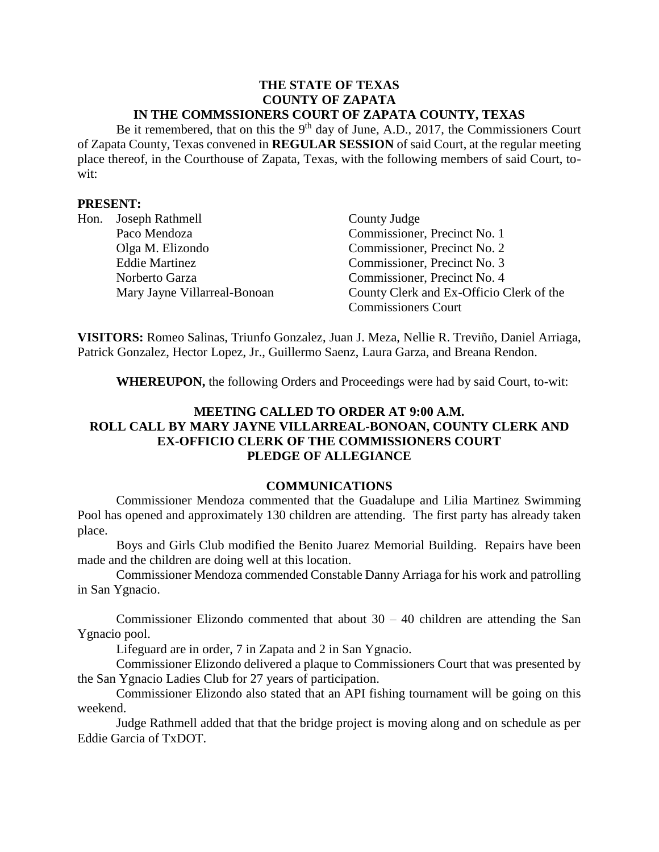#### **THE STATE OF TEXAS COUNTY OF ZAPATA IN THE COMMSSIONERS COURT OF ZAPATA COUNTY, TEXAS**

Be it remembered, that on this the  $9<sup>th</sup>$  day of June, A.D., 2017, the Commissioners Court of Zapata County, Texas convened in **REGULAR SESSION** of said Court, at the regular meeting place thereof, in the Courthouse of Zapata, Texas, with the following members of said Court, towit:

#### **PRESENT:**

| Hon. | Joseph Rathmell              | County Judge                             |
|------|------------------------------|------------------------------------------|
|      | Paco Mendoza                 | Commissioner, Precinct No. 1             |
|      | Olga M. Elizondo             | Commissioner, Precinct No. 2             |
|      | <b>Eddie Martinez</b>        | Commissioner, Precinct No. 3             |
|      | Norberto Garza               | Commissioner, Precinct No. 4             |
|      | Mary Jayne Villarreal-Bonoan | County Clerk and Ex-Officio Clerk of the |
|      |                              | <b>Commissioners Court</b>               |

**VISITORS:** Romeo Salinas, Triunfo Gonzalez, Juan J. Meza, Nellie R. Treviño, Daniel Arriaga, Patrick Gonzalez, Hector Lopez, Jr., Guillermo Saenz, Laura Garza, and Breana Rendon.

**WHEREUPON,** the following Orders and Proceedings were had by said Court, to-wit:

## **MEETING CALLED TO ORDER AT 9:00 A.M. ROLL CALL BY MARY JAYNE VILLARREAL-BONOAN, COUNTY CLERK AND EX-OFFICIO CLERK OF THE COMMISSIONERS COURT PLEDGE OF ALLEGIANCE**

#### **COMMUNICATIONS**

Commissioner Mendoza commented that the Guadalupe and Lilia Martinez Swimming Pool has opened and approximately 130 children are attending. The first party has already taken place.

Boys and Girls Club modified the Benito Juarez Memorial Building. Repairs have been made and the children are doing well at this location.

Commissioner Mendoza commended Constable Danny Arriaga for his work and patrolling in San Ygnacio.

Commissioner Elizondo commented that about  $30 - 40$  children are attending the San Ygnacio pool.

Lifeguard are in order, 7 in Zapata and 2 in San Ygnacio.

Commissioner Elizondo delivered a plaque to Commissioners Court that was presented by the San Ygnacio Ladies Club for 27 years of participation.

Commissioner Elizondo also stated that an API fishing tournament will be going on this weekend.

Judge Rathmell added that that the bridge project is moving along and on schedule as per Eddie Garcia of TxDOT.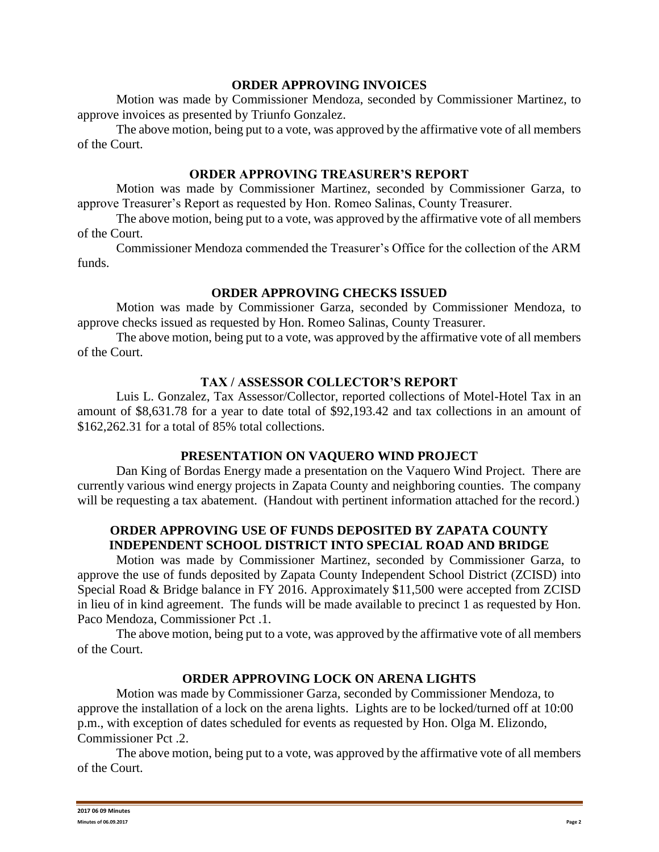#### **ORDER APPROVING INVOICES**

Motion was made by Commissioner Mendoza, seconded by Commissioner Martinez, to approve invoices as presented by Triunfo Gonzalez.

The above motion, being put to a vote, was approved by the affirmative vote of all members of the Court.

### **ORDER APPROVING TREASURER'S REPORT**

Motion was made by Commissioner Martinez, seconded by Commissioner Garza, to approve Treasurer's Report as requested by Hon. Romeo Salinas, County Treasurer.

The above motion, being put to a vote, was approved by the affirmative vote of all members of the Court.

Commissioner Mendoza commended the Treasurer's Office for the collection of the ARM funds.

## **ORDER APPROVING CHECKS ISSUED**

Motion was made by Commissioner Garza, seconded by Commissioner Mendoza, to approve checks issued as requested by Hon. Romeo Salinas, County Treasurer.

The above motion, being put to a vote, was approved by the affirmative vote of all members of the Court.

# **TAX / ASSESSOR COLLECTOR'S REPORT**

Luis L. Gonzalez, Tax Assessor/Collector, reported collections of Motel-Hotel Tax in an amount of \$8,631.78 for a year to date total of \$92,193.42 and tax collections in an amount of \$162,262.31 for a total of 85% total collections.

# **PRESENTATION ON VAQUERO WIND PROJECT**

Dan King of Bordas Energy made a presentation on the Vaquero Wind Project. There are currently various wind energy projects in Zapata County and neighboring counties. The company will be requesting a tax abatement. (Handout with pertinent information attached for the record.)

## **ORDER APPROVING USE OF FUNDS DEPOSITED BY ZAPATA COUNTY INDEPENDENT SCHOOL DISTRICT INTO SPECIAL ROAD AND BRIDGE**

Motion was made by Commissioner Martinez, seconded by Commissioner Garza, to approve the use of funds deposited by Zapata County Independent School District (ZCISD) into Special Road & Bridge balance in FY 2016. Approximately \$11,500 were accepted from ZCISD in lieu of in kind agreement. The funds will be made available to precinct 1 as requested by Hon. Paco Mendoza, Commissioner Pct .1.

The above motion, being put to a vote, was approved by the affirmative vote of all members of the Court.

# **ORDER APPROVING LOCK ON ARENA LIGHTS**

Motion was made by Commissioner Garza, seconded by Commissioner Mendoza, to approve the installation of a lock on the arena lights. Lights are to be locked/turned off at 10:00 p.m., with exception of dates scheduled for events as requested by Hon. Olga M. Elizondo, Commissioner Pct .2.

The above motion, being put to a vote, was approved by the affirmative vote of all members of the Court.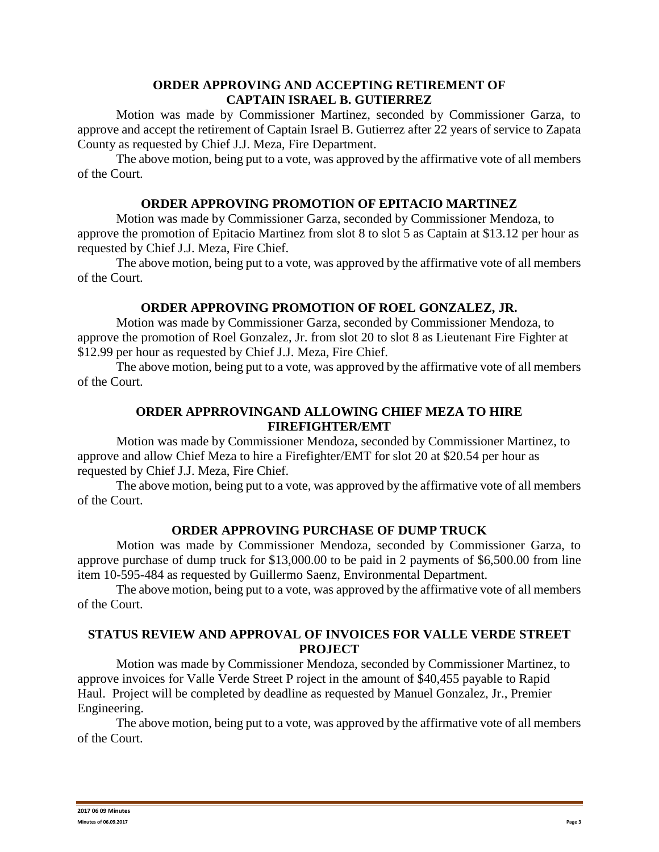### **ORDER APPROVING AND ACCEPTING RETIREMENT OF CAPTAIN ISRAEL B. GUTIERREZ**

Motion was made by Commissioner Martinez, seconded by Commissioner Garza, to approve and accept the retirement of Captain Israel B. Gutierrez after 22 years of service to Zapata County as requested by Chief J.J. Meza, Fire Department.

The above motion, being put to a vote, was approved by the affirmative vote of all members of the Court.

## **ORDER APPROVING PROMOTION OF EPITACIO MARTINEZ**

Motion was made by Commissioner Garza, seconded by Commissioner Mendoza, to approve the promotion of Epitacio Martinez from slot 8 to slot 5 as Captain at \$13.12 per hour as requested by Chief J.J. Meza, Fire Chief.

The above motion, being put to a vote, was approved by the affirmative vote of all members of the Court.

#### **ORDER APPROVING PROMOTION OF ROEL GONZALEZ, JR.**

Motion was made by Commissioner Garza, seconded by Commissioner Mendoza, to approve the promotion of Roel Gonzalez, Jr. from slot 20 to slot 8 as Lieutenant Fire Fighter at \$12.99 per hour as requested by Chief J.J. Meza, Fire Chief.

The above motion, being put to a vote, was approved by the affirmative vote of all members of the Court.

#### **ORDER APPRROVINGAND ALLOWING CHIEF MEZA TO HIRE FIREFIGHTER/EMT**

Motion was made by Commissioner Mendoza, seconded by Commissioner Martinez, to approve and allow Chief Meza to hire a Firefighter/EMT for slot 20 at \$20.54 per hour as requested by Chief J.J. Meza, Fire Chief.

The above motion, being put to a vote, was approved by the affirmative vote of all members of the Court.

#### **ORDER APPROVING PURCHASE OF DUMP TRUCK**

Motion was made by Commissioner Mendoza, seconded by Commissioner Garza, to approve purchase of dump truck for \$13,000.00 to be paid in 2 payments of \$6,500.00 from line item 10-595-484 as requested by Guillermo Saenz, Environmental Department.

The above motion, being put to a vote, was approved by the affirmative vote of all members of the Court.

#### **STATUS REVIEW AND APPROVAL OF INVOICES FOR VALLE VERDE STREET PROJECT**

Motion was made by Commissioner Mendoza, seconded by Commissioner Martinez, to approve invoices for Valle Verde Street P roject in the amount of \$40,455 payable to Rapid Haul. Project will be completed by deadline as requested by Manuel Gonzalez, Jr., Premier Engineering.

The above motion, being put to a vote, was approved by the affirmative vote of all members of the Court.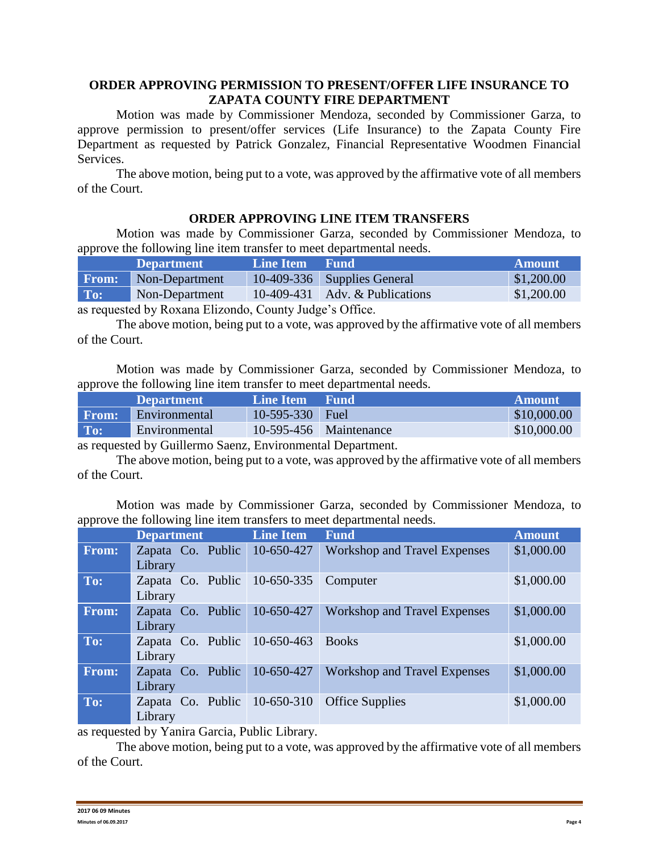## **ORDER APPROVING PERMISSION TO PRESENT/OFFER LIFE INSURANCE TO ZAPATA COUNTY FIRE DEPARTMENT**

Motion was made by Commissioner Mendoza, seconded by Commissioner Garza, to approve permission to present/offer services (Life Insurance) to the Zapata County Fire Department as requested by Patrick Gonzalez, Financial Representative Woodmen Financial Services.

The above motion, being put to a vote, was approved by the affirmative vote of all members of the Court.

## **ORDER APPROVING LINE ITEM TRANSFERS**

Motion was made by Commissioner Garza, seconded by Commissioner Mendoza, to approve the following line item transfer to meet departmental needs.

|                                                                                                                                                                                                                                                                                                                                                                                              | <b>Department</b> | Line Item Fund |                                  | <b>Amount</b> |
|----------------------------------------------------------------------------------------------------------------------------------------------------------------------------------------------------------------------------------------------------------------------------------------------------------------------------------------------------------------------------------------------|-------------------|----------------|----------------------------------|---------------|
| <b>From:</b>                                                                                                                                                                                                                                                                                                                                                                                 | Non-Department    |                | $10-409-336$ Supplies General    | \$1,200.00    |
| To:                                                                                                                                                                                                                                                                                                                                                                                          | Non-Department    |                | $10-409-431$ Adv. & Publications | \$1,200.00    |
| $\blacksquare$ 11 n $\blacksquare$ 1 n $\blacksquare$ 1 n $\blacksquare$ 1 n $\blacksquare$ 1 n $\blacksquare$ 1 n $\blacksquare$ 1 n $\blacksquare$ 1 n $\blacksquare$ 1 n $\blacksquare$ 1 n $\blacksquare$ 1 n $\blacksquare$ 1 n $\blacksquare$ 1 n $\blacksquare$ 1 n $\blacksquare$ 1 n $\blacksquare$ 1 n $\blacksquare$ 1 n $\blacksquare$ 1 n $\blacksquare$ 1 n $\blacksquare$ 1 n |                   |                |                                  |               |

as requested by Roxana Elizondo, County Judge's Office.

The above motion, being put to a vote, was approved by the affirmative vote of all members of the Court.

Motion was made by Commissioner Garza, seconded by Commissioner Mendoza, to approve the following line item transfer to meet departmental needs.

|       | <b>Department</b> | Line Item         | Fund                   | <b>Amount</b> |
|-------|-------------------|-------------------|------------------------|---------------|
| From: | Environmental     | $10-595-330$ Fuel |                        | \$10,000.00   |
| To:   | Environmental     |                   | 10-595-456 Maintenance | \$10,000.00   |

as requested by Guillermo Saenz, Environmental Department.

The above motion, being put to a vote, was approved by the affirmative vote of all members of the Court.

Motion was made by Commissioner Garza, seconded by Commissioner Mendoza, to approve the following line item transfers to meet departmental needs.

|       | <b>Department</b>                                | <b>Line Item</b> | <b>Fund</b>                         | <b>Amount</b> |
|-------|--------------------------------------------------|------------------|-------------------------------------|---------------|
| From: | Zapata Co. Public<br>Library                     | 10-650-427       | <b>Workshop and Travel Expenses</b> | \$1,000.00    |
| To:   | Zapata Co. Public 10-650-335 Computer<br>Library |                  |                                     | \$1,000.00    |
| From: | Zapata Co. Public<br>Library                     | 10-650-427       | <b>Workshop and Travel Expenses</b> | \$1,000.00    |
| To:   | Zapata Co. Public 10-650-463<br>Library          |                  | <b>Books</b>                        | \$1,000.00    |
| From: | Zapata Co. Public<br>Library                     | 10-650-427       | <b>Workshop and Travel Expenses</b> | \$1,000.00    |
| To:   | Zapata Co. Public 10-650-310<br>Library          |                  | <b>Office Supplies</b>              | \$1,000.00    |

as requested by Yanira Garcia, Public Library.

The above motion, being put to a vote, was approved by the affirmative vote of all members of the Court.